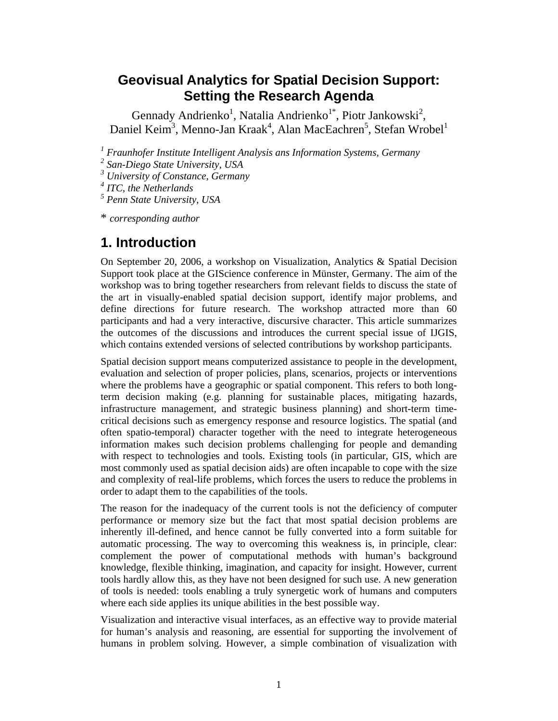# **Geovisual Analytics for Spatial Decision Support: Setting the Research Agenda**

Gennady Andrienko<sup>1</sup>, Natalia Andrienko<sup>1\*</sup>, Piotr Jankowski<sup>2</sup>, Daniel Keim<sup>3</sup>, Menno-Jan Kraak<sup>4</sup>, Alan MacEachren<sup>5</sup>, Stefan Wrobel<sup>1</sup>

<sup>1</sup> Fraunhofer Institute Intelligent Analysis ans Information Systems, Germany

*2 San-Diego State University, USA* 

*3 University of Constance, Germany* 

*4 ITC, the Netherlands* 

*5 Penn State University, USA* 

\* *corresponding author* 

# **1. Introduction**

On September 20, 2006, a workshop on Visualization, Analytics & Spatial Decision Support took place at the GIScience conference in Münster, Germany. The aim of the workshop was to bring together researchers from relevant fields to discuss the state of the art in visually-enabled spatial decision support, identify major problems, and define directions for future research. The workshop attracted more than 60 participants and had a very interactive, discursive character. This article summarizes the outcomes of the discussions and introduces the current special issue of IJGIS, which contains extended versions of selected contributions by workshop participants.

Spatial decision support means computerized assistance to people in the development, evaluation and selection of proper policies, plans, scenarios, projects or interventions where the problems have a geographic or spatial component. This refers to both longterm decision making (e.g. planning for sustainable places, mitigating hazards, infrastructure management, and strategic business planning) and short-term timecritical decisions such as emergency response and resource logistics. The spatial (and often spatio-temporal) character together with the need to integrate heterogeneous information makes such decision problems challenging for people and demanding with respect to technologies and tools. Existing tools (in particular, GIS, which are most commonly used as spatial decision aids) are often incapable to cope with the size and complexity of real-life problems, which forces the users to reduce the problems in order to adapt them to the capabilities of the tools.

The reason for the inadequacy of the current tools is not the deficiency of computer performance or memory size but the fact that most spatial decision problems are inherently ill-defined, and hence cannot be fully converted into a form suitable for automatic processing. The way to overcoming this weakness is, in principle, clear: complement the power of computational methods with human's background knowledge, flexible thinking, imagination, and capacity for insight. However, current tools hardly allow this, as they have not been designed for such use. A new generation of tools is needed: tools enabling a truly synergetic work of humans and computers where each side applies its unique abilities in the best possible way.

Visualization and interactive visual interfaces, as an effective way to provide material for human's analysis and reasoning, are essential for supporting the involvement of humans in problem solving. However, a simple combination of visualization with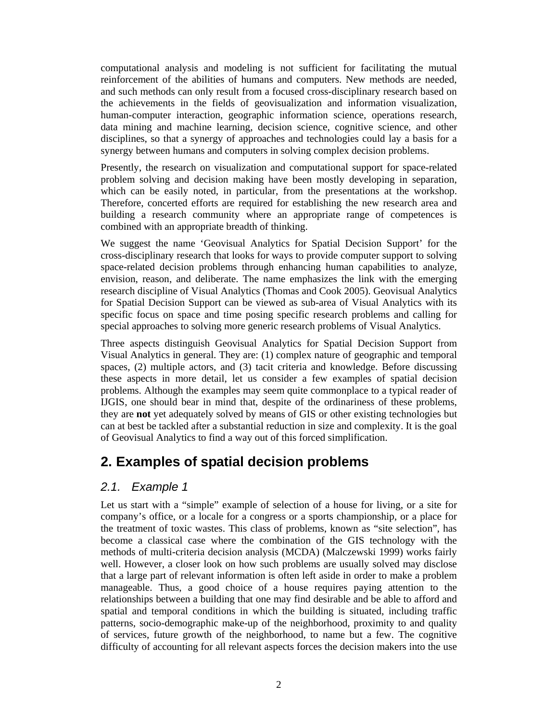computational analysis and modeling is not sufficient for facilitating the mutual reinforcement of the abilities of humans and computers. New methods are needed, and such methods can only result from a focused cross-disciplinary research based on the achievements in the fields of geovisualization and information visualization, human-computer interaction, geographic information science, operations research, data mining and machine learning, decision science, cognitive science, and other disciplines, so that a synergy of approaches and technologies could lay a basis for a synergy between humans and computers in solving complex decision problems.

Presently, the research on visualization and computational support for space-related problem solving and decision making have been mostly developing in separation, which can be easily noted, in particular, from the presentations at the workshop. Therefore, concerted efforts are required for establishing the new research area and building a research community where an appropriate range of competences is combined with an appropriate breadth of thinking.

We suggest the name 'Geovisual Analytics for Spatial Decision Support' for the cross-disciplinary research that looks for ways to provide computer support to solving space-related decision problems through enhancing human capabilities to analyze, envision, reason, and deliberate. The name emphasizes the link with the emerging research discipline of Visual Analytics (Thomas and Cook 2005). Geovisual Analytics for Spatial Decision Support can be viewed as sub-area of Visual Analytics with its specific focus on space and time posing specific research problems and calling for special approaches to solving more generic research problems of Visual Analytics.

Three aspects distinguish Geovisual Analytics for Spatial Decision Support from Visual Analytics in general. They are: (1) complex nature of geographic and temporal spaces, (2) multiple actors, and (3) tacit criteria and knowledge. Before discussing these aspects in more detail, let us consider a few examples of spatial decision problems. Although the examples may seem quite commonplace to a typical reader of IJGIS, one should bear in mind that, despite of the ordinariness of these problems, they are **not** yet adequately solved by means of GIS or other existing technologies but can at best be tackled after a substantial reduction in size and complexity. It is the goal of Geovisual Analytics to find a way out of this forced simplification.

# **2. Examples of spatial decision problems**

### *2.1. Example 1*

Let us start with a "simple" example of selection of a house for living, or a site for company's office, or a locale for a congress or a sports championship, or a place for the treatment of toxic wastes. This class of problems, known as "site selection", has become a classical case where the combination of the GIS technology with the methods of multi-criteria decision analysis (MCDA) (Malczewski 1999) works fairly well. However, a closer look on how such problems are usually solved may disclose that a large part of relevant information is often left aside in order to make a problem manageable. Thus, a good choice of a house requires paying attention to the relationships between a building that one may find desirable and be able to afford and spatial and temporal conditions in which the building is situated, including traffic patterns, socio-demographic make-up of the neighborhood, proximity to and quality of services, future growth of the neighborhood, to name but a few. The cognitive difficulty of accounting for all relevant aspects forces the decision makers into the use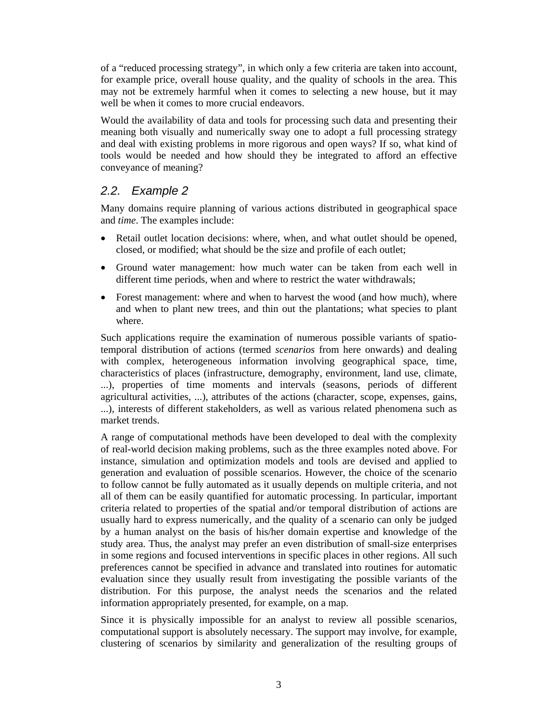of a "reduced processing strategy", in which only a few criteria are taken into account, for example price, overall house quality, and the quality of schools in the area. This may not be extremely harmful when it comes to selecting a new house, but it may well be when it comes to more crucial endeavors.

Would the availability of data and tools for processing such data and presenting their meaning both visually and numerically sway one to adopt a full processing strategy and deal with existing problems in more rigorous and open ways? If so, what kind of tools would be needed and how should they be integrated to afford an effective conveyance of meaning?

## *2.2. Example 2*

Many domains require planning of various actions distributed in geographical space and *time*. The examples include:

- Retail outlet location decisions: where, when, and what outlet should be opened, closed, or modified; what should be the size and profile of each outlet;
- Ground water management: how much water can be taken from each well in different time periods, when and where to restrict the water withdrawals;
- Forest management: where and when to harvest the wood (and how much), where and when to plant new trees, and thin out the plantations; what species to plant where.

Such applications require the examination of numerous possible variants of spatiotemporal distribution of actions (termed *scenarios* from here onwards) and dealing with complex, heterogeneous information involving geographical space, time, characteristics of places (infrastructure, demography, environment, land use, climate, ...), properties of time moments and intervals (seasons, periods of different agricultural activities, ...), attributes of the actions (character, scope, expenses, gains, ...), interests of different stakeholders, as well as various related phenomena such as market trends.

A range of computational methods have been developed to deal with the complexity of real-world decision making problems, such as the three examples noted above. For instance, simulation and optimization models and tools are devised and applied to generation and evaluation of possible scenarios. However, the choice of the scenario to follow cannot be fully automated as it usually depends on multiple criteria, and not all of them can be easily quantified for automatic processing. In particular, important criteria related to properties of the spatial and/or temporal distribution of actions are usually hard to express numerically, and the quality of a scenario can only be judged by a human analyst on the basis of his/her domain expertise and knowledge of the study area. Thus, the analyst may prefer an even distribution of small-size enterprises in some regions and focused interventions in specific places in other regions. All such preferences cannot be specified in advance and translated into routines for automatic evaluation since they usually result from investigating the possible variants of the distribution. For this purpose, the analyst needs the scenarios and the related information appropriately presented, for example, on a map.

Since it is physically impossible for an analyst to review all possible scenarios, computational support is absolutely necessary. The support may involve, for example, clustering of scenarios by similarity and generalization of the resulting groups of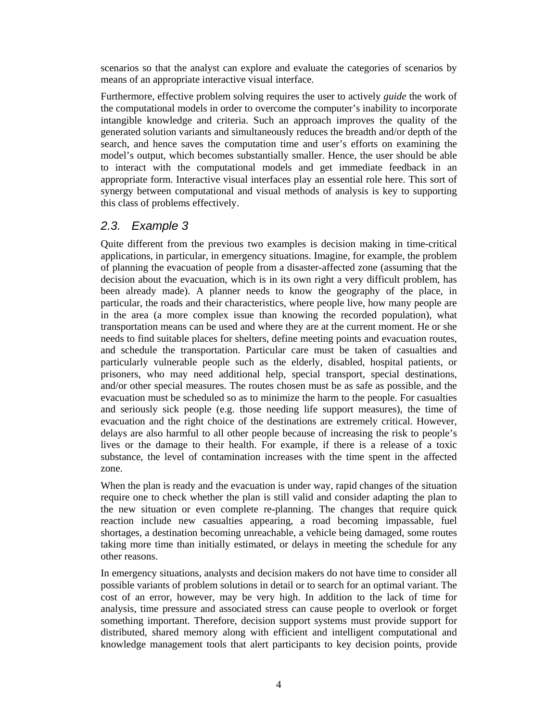scenarios so that the analyst can explore and evaluate the categories of scenarios by means of an appropriate interactive visual interface.

Furthermore, effective problem solving requires the user to actively *guide* the work of the computational models in order to overcome the computer's inability to incorporate intangible knowledge and criteria. Such an approach improves the quality of the generated solution variants and simultaneously reduces the breadth and/or depth of the search, and hence saves the computation time and user's efforts on examining the model's output, which becomes substantially smaller. Hence, the user should be able to interact with the computational models and get immediate feedback in an appropriate form. Interactive visual interfaces play an essential role here. This sort of synergy between computational and visual methods of analysis is key to supporting this class of problems effectively.

#### *2.3. Example 3*

Quite different from the previous two examples is decision making in time-critical applications, in particular, in emergency situations. Imagine, for example, the problem of planning the evacuation of people from a disaster-affected zone (assuming that the decision about the evacuation, which is in its own right a very difficult problem, has been already made). A planner needs to know the geography of the place, in particular, the roads and their characteristics, where people live, how many people are in the area (a more complex issue than knowing the recorded population), what transportation means can be used and where they are at the current moment. He or she needs to find suitable places for shelters, define meeting points and evacuation routes, and schedule the transportation. Particular care must be taken of casualties and particularly vulnerable people such as the elderly, disabled, hospital patients, or prisoners, who may need additional help, special transport, special destinations, and/or other special measures. The routes chosen must be as safe as possible, and the evacuation must be scheduled so as to minimize the harm to the people. For casualties and seriously sick people (e.g. those needing life support measures), the time of evacuation and the right choice of the destinations are extremely critical. However, delays are also harmful to all other people because of increasing the risk to people's lives or the damage to their health. For example, if there is a release of a toxic substance, the level of contamination increases with the time spent in the affected zone.

When the plan is ready and the evacuation is under way, rapid changes of the situation require one to check whether the plan is still valid and consider adapting the plan to the new situation or even complete re-planning. The changes that require quick reaction include new casualties appearing, a road becoming impassable, fuel shortages, a destination becoming unreachable, a vehicle being damaged, some routes taking more time than initially estimated, or delays in meeting the schedule for any other reasons.

In emergency situations, analysts and decision makers do not have time to consider all possible variants of problem solutions in detail or to search for an optimal variant. The cost of an error, however, may be very high. In addition to the lack of time for analysis, time pressure and associated stress can cause people to overlook or forget something important. Therefore, decision support systems must provide support for distributed, shared memory along with efficient and intelligent computational and knowledge management tools that alert participants to key decision points, provide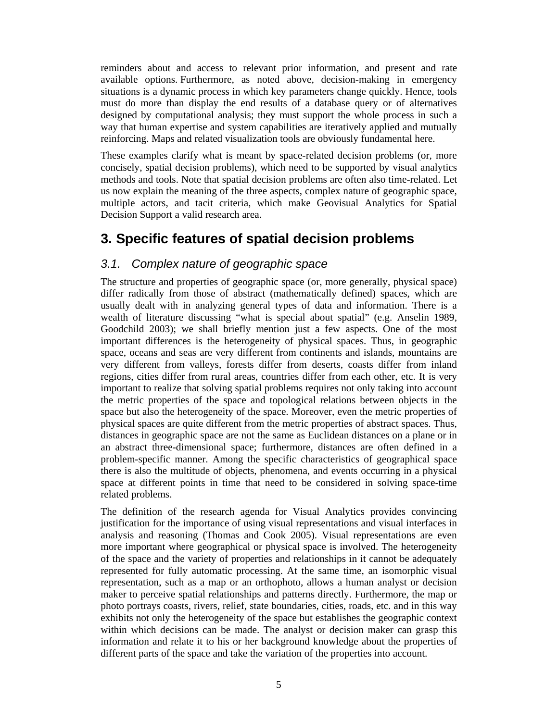reminders about and access to relevant prior information, and present and rate available options. Furthermore, as noted above, decision-making in emergency situations is a dynamic process in which key parameters change quickly. Hence, tools must do more than display the end results of a database query or of alternatives designed by computational analysis; they must support the whole process in such a way that human expertise and system capabilities are iteratively applied and mutually reinforcing. Maps and related visualization tools are obviously fundamental here.

These examples clarify what is meant by space-related decision problems (or, more concisely, spatial decision problems), which need to be supported by visual analytics methods and tools. Note that spatial decision problems are often also time-related. Let us now explain the meaning of the three aspects, complex nature of geographic space, multiple actors, and tacit criteria, which make Geovisual Analytics for Spatial Decision Support a valid research area.

# **3. Specific features of spatial decision problems**

## *3.1. Complex nature of geographic space*

The structure and properties of geographic space (or, more generally, physical space) differ radically from those of abstract (mathematically defined) spaces, which are usually dealt with in analyzing general types of data and information. There is a wealth of literature discussing "what is special about spatial" (e.g. Anselin 1989, Goodchild 2003); we shall briefly mention just a few aspects. One of the most important differences is the heterogeneity of physical spaces. Thus, in geographic space, oceans and seas are very different from continents and islands, mountains are very different from valleys, forests differ from deserts, coasts differ from inland regions, cities differ from rural areas, countries differ from each other, etc. It is very important to realize that solving spatial problems requires not only taking into account the metric properties of the space and topological relations between objects in the space but also the heterogeneity of the space. Moreover, even the metric properties of physical spaces are quite different from the metric properties of abstract spaces. Thus, distances in geographic space are not the same as Euclidean distances on a plane or in an abstract three-dimensional space; furthermore, distances are often defined in a problem-specific manner. Among the specific characteristics of geographical space there is also the multitude of objects, phenomena, and events occurring in a physical space at different points in time that need to be considered in solving space-time related problems.

The definition of the research agenda for Visual Analytics provides convincing justification for the importance of using visual representations and visual interfaces in analysis and reasoning (Thomas and Cook 2005). Visual representations are even more important where geographical or physical space is involved. The heterogeneity of the space and the variety of properties and relationships in it cannot be adequately represented for fully automatic processing. At the same time, an isomorphic visual representation, such as a map or an orthophoto, allows a human analyst or decision maker to perceive spatial relationships and patterns directly. Furthermore, the map or photo portrays coasts, rivers, relief, state boundaries, cities, roads, etc. and in this way exhibits not only the heterogeneity of the space but establishes the geographic context within which decisions can be made. The analyst or decision maker can grasp this information and relate it to his or her background knowledge about the properties of different parts of the space and take the variation of the properties into account.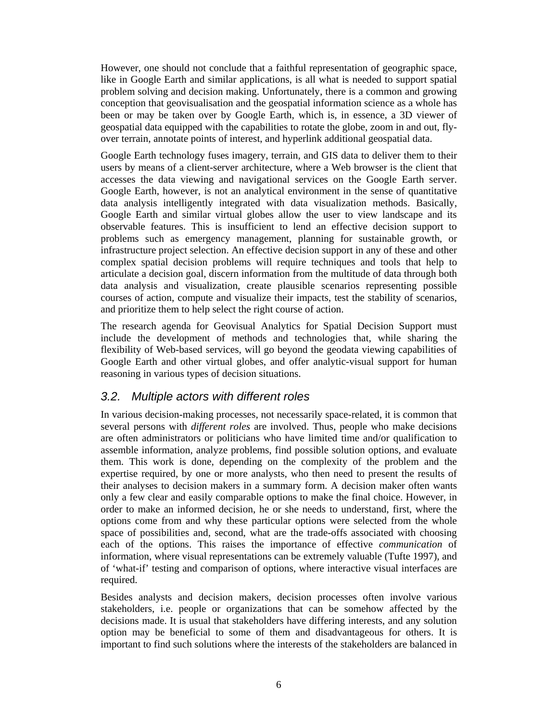However, one should not conclude that a faithful representation of geographic space, like in Google Earth and similar applications, is all what is needed to support spatial problem solving and decision making. Unfortunately, there is a common and growing conception that geovisualisation and the geospatial information science as a whole has been or may be taken over by Google Earth, which is, in essence, a 3D viewer of geospatial data equipped with the capabilities to rotate the globe, zoom in and out, flyover terrain, annotate points of interest, and hyperlink additional geospatial data.

Google Earth technology fuses imagery, terrain, and GIS data to deliver them to their users by means of a client-server architecture, where a Web browser is the client that accesses the data viewing and navigational services on the Google Earth server. Google Earth, however, is not an analytical environment in the sense of quantitative data analysis intelligently integrated with data visualization methods. Basically, Google Earth and similar virtual globes allow the user to view landscape and its observable features. This is insufficient to lend an effective decision support to problems such as emergency management, planning for sustainable growth, or infrastructure project selection. An effective decision support in any of these and other complex spatial decision problems will require techniques and tools that help to articulate a decision goal, discern information from the multitude of data through both data analysis and visualization, create plausible scenarios representing possible courses of action, compute and visualize their impacts, test the stability of scenarios, and prioritize them to help select the right course of action.

The research agenda for Geovisual Analytics for Spatial Decision Support must include the development of methods and technologies that, while sharing the flexibility of Web-based services, will go beyond the geodata viewing capabilities of Google Earth and other virtual globes, and offer analytic-visual support for human reasoning in various types of decision situations.

#### *3.2. Multiple actors with different roles*

In various decision-making processes, not necessarily space-related, it is common that several persons with *different roles* are involved. Thus, people who make decisions are often administrators or politicians who have limited time and/or qualification to assemble information, analyze problems, find possible solution options, and evaluate them. This work is done, depending on the complexity of the problem and the expertise required, by one or more analysts, who then need to present the results of their analyses to decision makers in a summary form. A decision maker often wants only a few clear and easily comparable options to make the final choice. However, in order to make an informed decision, he or she needs to understand, first, where the options come from and why these particular options were selected from the whole space of possibilities and, second, what are the trade-offs associated with choosing each of the options. This raises the importance of effective *communication* of information, where visual representations can be extremely valuable (Tufte 1997), and of 'what-if' testing and comparison of options, where interactive visual interfaces are required.

Besides analysts and decision makers, decision processes often involve various stakeholders, i.e. people or organizations that can be somehow affected by the decisions made. It is usual that stakeholders have differing interests, and any solution option may be beneficial to some of them and disadvantageous for others. It is important to find such solutions where the interests of the stakeholders are balanced in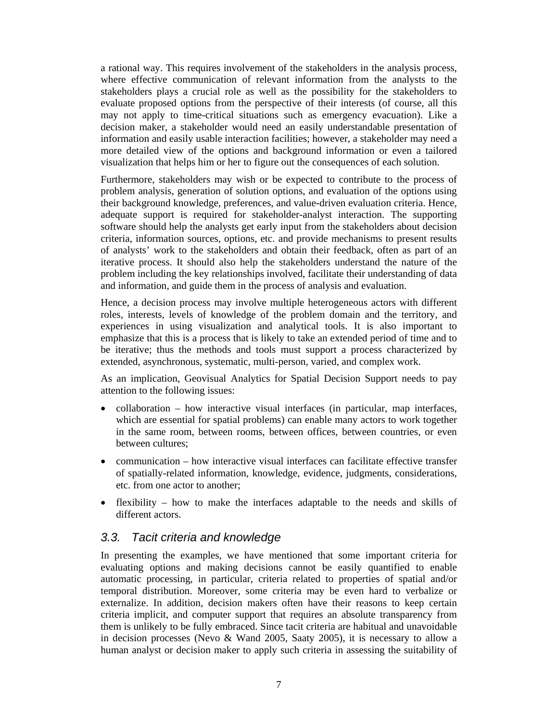a rational way. This requires involvement of the stakeholders in the analysis process, where effective communication of relevant information from the analysts to the stakeholders plays a crucial role as well as the possibility for the stakeholders to evaluate proposed options from the perspective of their interests (of course, all this may not apply to time-critical situations such as emergency evacuation). Like a decision maker, a stakeholder would need an easily understandable presentation of information and easily usable interaction facilities; however, a stakeholder may need a more detailed view of the options and background information or even a tailored visualization that helps him or her to figure out the consequences of each solution.

Furthermore, stakeholders may wish or be expected to contribute to the process of problem analysis, generation of solution options, and evaluation of the options using their background knowledge, preferences, and value-driven evaluation criteria. Hence, adequate support is required for stakeholder-analyst interaction. The supporting software should help the analysts get early input from the stakeholders about decision criteria, information sources, options, etc. and provide mechanisms to present results of analysts' work to the stakeholders and obtain their feedback, often as part of an iterative process. It should also help the stakeholders understand the nature of the problem including the key relationships involved, facilitate their understanding of data and information, and guide them in the process of analysis and evaluation.

Hence, a decision process may involve multiple heterogeneous actors with different roles, interests, levels of knowledge of the problem domain and the territory, and experiences in using visualization and analytical tools. It is also important to emphasize that this is a process that is likely to take an extended period of time and to be iterative; thus the methods and tools must support a process characterized by extended, asynchronous, systematic, multi-person, varied, and complex work.

As an implication, Geovisual Analytics for Spatial Decision Support needs to pay attention to the following issues:

- collaboration how interactive visual interfaces (in particular, map interfaces, which are essential for spatial problems) can enable many actors to work together in the same room, between rooms, between offices, between countries, or even between cultures;
- communication how interactive visual interfaces can facilitate effective transfer of spatially-related information, knowledge, evidence, judgments, considerations, etc. from one actor to another;
- flexibility how to make the interfaces adaptable to the needs and skills of different actors.

#### *3.3. Tacit criteria and knowledge*

In presenting the examples, we have mentioned that some important criteria for evaluating options and making decisions cannot be easily quantified to enable automatic processing, in particular, criteria related to properties of spatial and/or temporal distribution. Moreover, some criteria may be even hard to verbalize or externalize. In addition, decision makers often have their reasons to keep certain criteria implicit, and computer support that requires an absolute transparency from them is unlikely to be fully embraced. Since tacit criteria are habitual and unavoidable in decision processes (Nevo & Wand 2005, Saaty 2005), it is necessary to allow a human analyst or decision maker to apply such criteria in assessing the suitability of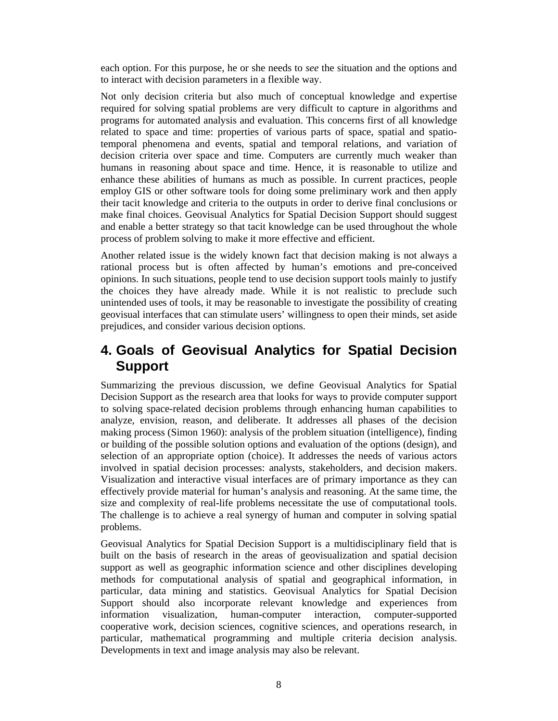each option. For this purpose, he or she needs to *see* the situation and the options and to interact with decision parameters in a flexible way.

Not only decision criteria but also much of conceptual knowledge and expertise required for solving spatial problems are very difficult to capture in algorithms and programs for automated analysis and evaluation. This concerns first of all knowledge related to space and time: properties of various parts of space, spatial and spatiotemporal phenomena and events, spatial and temporal relations, and variation of decision criteria over space and time. Computers are currently much weaker than humans in reasoning about space and time. Hence, it is reasonable to utilize and enhance these abilities of humans as much as possible. In current practices, people employ GIS or other software tools for doing some preliminary work and then apply their tacit knowledge and criteria to the outputs in order to derive final conclusions or make final choices. Geovisual Analytics for Spatial Decision Support should suggest and enable a better strategy so that tacit knowledge can be used throughout the whole process of problem solving to make it more effective and efficient.

Another related issue is the widely known fact that decision making is not always a rational process but is often affected by human's emotions and pre-conceived opinions. In such situations, people tend to use decision support tools mainly to justify the choices they have already made. While it is not realistic to preclude such unintended uses of tools, it may be reasonable to investigate the possibility of creating geovisual interfaces that can stimulate users' willingness to open their minds, set aside prejudices, and consider various decision options.

# **4. Goals of Geovisual Analytics for Spatial Decision Support**

Summarizing the previous discussion, we define Geovisual Analytics for Spatial Decision Support as the research area that looks for ways to provide computer support to solving space-related decision problems through enhancing human capabilities to analyze, envision, reason, and deliberate. It addresses all phases of the decision making process (Simon 1960): analysis of the problem situation (intelligence), finding or building of the possible solution options and evaluation of the options (design), and selection of an appropriate option (choice). It addresses the needs of various actors involved in spatial decision processes: analysts, stakeholders, and decision makers. Visualization and interactive visual interfaces are of primary importance as they can effectively provide material for human's analysis and reasoning. At the same time, the size and complexity of real-life problems necessitate the use of computational tools. The challenge is to achieve a real synergy of human and computer in solving spatial problems.

Geovisual Analytics for Spatial Decision Support is a multidisciplinary field that is built on the basis of research in the areas of geovisualization and spatial decision support as well as geographic information science and other disciplines developing methods for computational analysis of spatial and geographical information, in particular, data mining and statistics. Geovisual Analytics for Spatial Decision Support should also incorporate relevant knowledge and experiences from information visualization, human-computer interaction, computer-supported cooperative work, decision sciences, cognitive sciences, and operations research, in particular, mathematical programming and multiple criteria decision analysis. Developments in text and image analysis may also be relevant.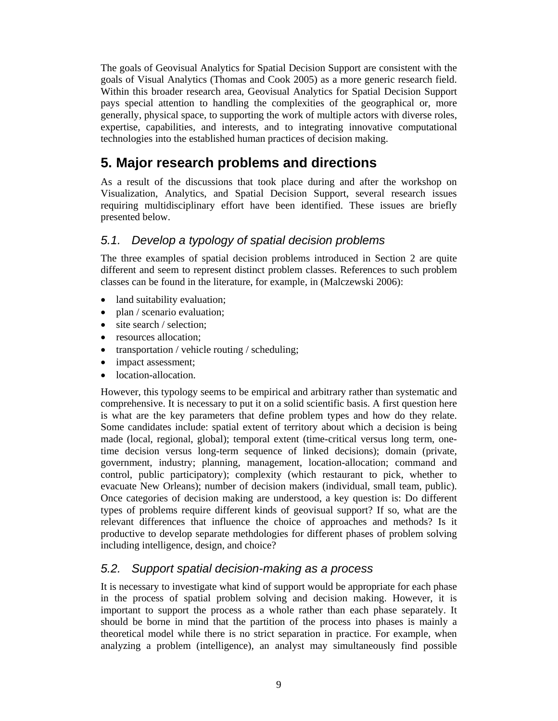The goals of Geovisual Analytics for Spatial Decision Support are consistent with the goals of Visual Analytics (Thomas and Cook 2005) as a more generic research field. Within this broader research area, Geovisual Analytics for Spatial Decision Support pays special attention to handling the complexities of the geographical or, more generally, physical space, to supporting the work of multiple actors with diverse roles, expertise, capabilities, and interests, and to integrating innovative computational technologies into the established human practices of decision making.

# **5. Major research problems and directions**

As a result of the discussions that took place during and after the workshop on Visualization, Analytics, and Spatial Decision Support, several research issues requiring multidisciplinary effort have been identified. These issues are briefly presented below.

#### *5.1. Develop a typology of spatial decision problems*

The three examples of spatial decision problems introduced in Section 2 are quite different and seem to represent distinct problem classes. References to such problem classes can be found in the literature, for example, in (Malczewski 2006):

- land suitability evaluation;
- plan / scenario evaluation;
- site search / selection:
- resources allocation;
- transportation / vehicle routing / scheduling;
- impact assessment;
- location-allocation.

However, this typology seems to be empirical and arbitrary rather than systematic and comprehensive. It is necessary to put it on a solid scientific basis. A first question here is what are the key parameters that define problem types and how do they relate. Some candidates include: spatial extent of territory about which a decision is being made (local, regional, global); temporal extent (time-critical versus long term, onetime decision versus long-term sequence of linked decisions); domain (private, government, industry; planning, management, location-allocation; command and control, public participatory); complexity (which restaurant to pick, whether to evacuate New Orleans); number of decision makers (individual, small team, public). Once categories of decision making are understood, a key question is: Do different types of problems require different kinds of geovisual support? If so, what are the relevant differences that influence the choice of approaches and methods? Is it productive to develop separate methdologies for different phases of problem solving including intelligence, design, and choice?

# *5.2. Support spatial decision-making as a process*

It is necessary to investigate what kind of support would be appropriate for each phase in the process of spatial problem solving and decision making. However, it is important to support the process as a whole rather than each phase separately. It should be borne in mind that the partition of the process into phases is mainly a theoretical model while there is no strict separation in practice. For example, when analyzing a problem (intelligence), an analyst may simultaneously find possible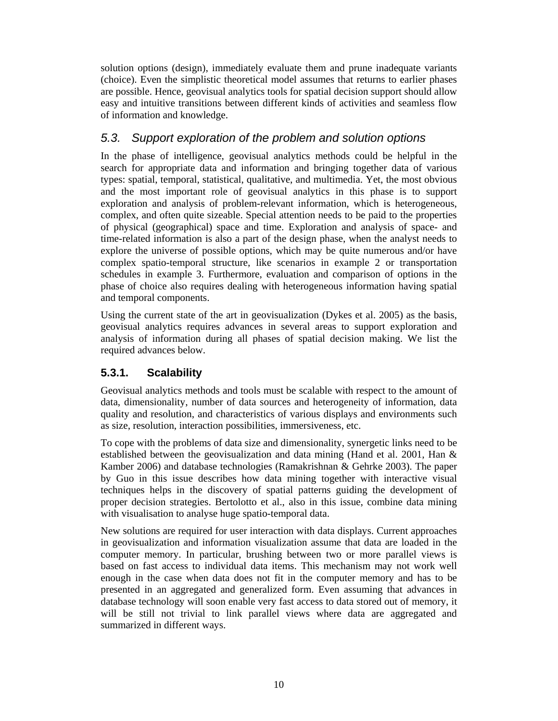solution options (design), immediately evaluate them and prune inadequate variants (choice). Even the simplistic theoretical model assumes that returns to earlier phases are possible. Hence, geovisual analytics tools for spatial decision support should allow easy and intuitive transitions between different kinds of activities and seamless flow of information and knowledge.

## *5.3. Support exploration of the problem and solution options*

In the phase of intelligence, geovisual analytics methods could be helpful in the search for appropriate data and information and bringing together data of various types: spatial, temporal, statistical, qualitative, and multimedia. Yet, the most obvious and the most important role of geovisual analytics in this phase is to support exploration and analysis of problem-relevant information, which is heterogeneous, complex, and often quite sizeable. Special attention needs to be paid to the properties of physical (geographical) space and time. Exploration and analysis of space- and time-related information is also a part of the design phase, when the analyst needs to explore the universe of possible options, which may be quite numerous and/or have complex spatio-temporal structure, like scenarios in example 2 or transportation schedules in example 3. Furthermore, evaluation and comparison of options in the phase of choice also requires dealing with heterogeneous information having spatial and temporal components.

Using the current state of the art in geovisualization (Dykes et al. 2005) as the basis, geovisual analytics requires advances in several areas to support exploration and analysis of information during all phases of spatial decision making. We list the required advances below.

### **5.3.1. Scalability**

Geovisual analytics methods and tools must be scalable with respect to the amount of data, dimensionality, number of data sources and heterogeneity of information, data quality and resolution, and characteristics of various displays and environments such as size, resolution, interaction possibilities, immersiveness, etc.

To cope with the problems of data size and dimensionality, synergetic links need to be established between the geovisualization and data mining (Hand et al. 2001, Han & Kamber 2006) and database technologies (Ramakrishnan & Gehrke 2003). The paper by Guo in this issue describes how data mining together with interactive visual techniques helps in the discovery of spatial patterns guiding the development of proper decision strategies. Bertolotto et al., also in this issue, combine data mining with visualisation to analyse huge spatio-temporal data.

New solutions are required for user interaction with data displays. Current approaches in geovisualization and information visualization assume that data are loaded in the computer memory. In particular, brushing between two or more parallel views is based on fast access to individual data items. This mechanism may not work well enough in the case when data does not fit in the computer memory and has to be presented in an aggregated and generalized form. Even assuming that advances in database technology will soon enable very fast access to data stored out of memory, it will be still not trivial to link parallel views where data are aggregated and summarized in different ways.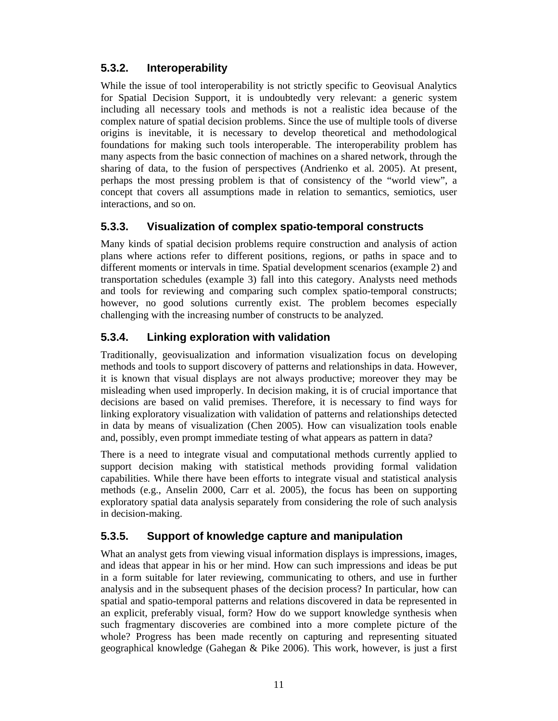#### **5.3.2. Interoperability**

While the issue of tool interoperability is not strictly specific to Geovisual Analytics for Spatial Decision Support, it is undoubtedly very relevant: a generic system including all necessary tools and methods is not a realistic idea because of the complex nature of spatial decision problems. Since the use of multiple tools of diverse origins is inevitable, it is necessary to develop theoretical and methodological foundations for making such tools interoperable. The interoperability problem has many aspects from the basic connection of machines on a shared network, through the sharing of data, to the fusion of perspectives (Andrienko et al. 2005). At present, perhaps the most pressing problem is that of consistency of the "world view", a concept that covers all assumptions made in relation to semantics, semiotics, user interactions, and so on.

#### **5.3.3. Visualization of complex spatio-temporal constructs**

Many kinds of spatial decision problems require construction and analysis of action plans where actions refer to different positions, regions, or paths in space and to different moments or intervals in time. Spatial development scenarios (example 2) and transportation schedules (example 3) fall into this category. Analysts need methods and tools for reviewing and comparing such complex spatio-temporal constructs; however, no good solutions currently exist. The problem becomes especially challenging with the increasing number of constructs to be analyzed.

#### **5.3.4. Linking exploration with validation**

Traditionally, geovisualization and information visualization focus on developing methods and tools to support discovery of patterns and relationships in data. However, it is known that visual displays are not always productive; moreover they may be misleading when used improperly. In decision making, it is of crucial importance that decisions are based on valid premises. Therefore, it is necessary to find ways for linking exploratory visualization with validation of patterns and relationships detected in data by means of visualization (Chen 2005). How can visualization tools enable and, possibly, even prompt immediate testing of what appears as pattern in data?

There is a need to integrate visual and computational methods currently applied to support decision making with statistical methods providing formal validation capabilities. While there have been efforts to integrate visual and statistical analysis methods (e.g., Anselin 2000, Carr et al. 2005), the focus has been on supporting exploratory spatial data analysis separately from considering the role of such analysis in decision-making.

### **5.3.5. Support of knowledge capture and manipulation**

What an analyst gets from viewing visual information displays is impressions, images, and ideas that appear in his or her mind. How can such impressions and ideas be put in a form suitable for later reviewing, communicating to others, and use in further analysis and in the subsequent phases of the decision process? In particular, how can spatial and spatio-temporal patterns and relations discovered in data be represented in an explicit, preferably visual, form? How do we support knowledge synthesis when such fragmentary discoveries are combined into a more complete picture of the whole? Progress has been made recently on capturing and representing situated geographical knowledge (Gahegan & Pike 2006). This work, however, is just a first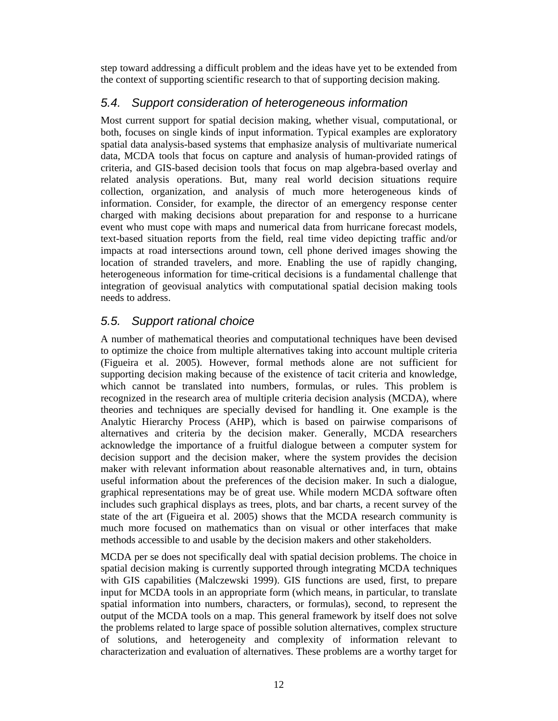step toward addressing a difficult problem and the ideas have yet to be extended from the context of supporting scientific research to that of supporting decision making.

## *5.4. Support consideration of heterogeneous information*

Most current support for spatial decision making, whether visual, computational, or both, focuses on single kinds of input information. Typical examples are exploratory spatial data analysis-based systems that emphasize analysis of multivariate numerical data, MCDA tools that focus on capture and analysis of human-provided ratings of criteria, and GIS-based decision tools that focus on map algebra-based overlay and related analysis operations. But, many real world decision situations require collection, organization, and analysis of much more heterogeneous kinds of information. Consider, for example, the director of an emergency response center charged with making decisions about preparation for and response to a hurricane event who must cope with maps and numerical data from hurricane forecast models, text-based situation reports from the field, real time video depicting traffic and/or impacts at road intersections around town, cell phone derived images showing the location of stranded travelers, and more. Enabling the use of rapidly changing, heterogeneous information for time-critical decisions is a fundamental challenge that integration of geovisual analytics with computational spatial decision making tools needs to address.

# *5.5. Support rational choice*

A number of mathematical theories and computational techniques have been devised to optimize the choice from multiple alternatives taking into account multiple criteria (Figueira et al. 2005). However, formal methods alone are not sufficient for supporting decision making because of the existence of tacit criteria and knowledge, which cannot be translated into numbers, formulas, or rules. This problem is recognized in the research area of multiple criteria decision analysis (MCDA), where theories and techniques are specially devised for handling it. One example is the Analytic Hierarchy Process (AHP), which is based on pairwise comparisons of alternatives and criteria by the decision maker. Generally, MCDA researchers acknowledge the importance of a fruitful dialogue between a computer system for decision support and the decision maker, where the system provides the decision maker with relevant information about reasonable alternatives and, in turn, obtains useful information about the preferences of the decision maker. In such a dialogue, graphical representations may be of great use. While modern MCDA software often includes such graphical displays as trees, plots, and bar charts, a recent survey of the state of the art (Figueira et al. 2005) shows that the MCDA research community is much more focused on mathematics than on visual or other interfaces that make methods accessible to and usable by the decision makers and other stakeholders.

MCDA per se does not specifically deal with spatial decision problems. The choice in spatial decision making is currently supported through integrating MCDA techniques with GIS capabilities (Malczewski 1999). GIS functions are used, first, to prepare input for MCDA tools in an appropriate form (which means, in particular, to translate spatial information into numbers, characters, or formulas), second, to represent the output of the MCDA tools on a map. This general framework by itself does not solve the problems related to large space of possible solution alternatives, complex structure of solutions, and heterogeneity and complexity of information relevant to characterization and evaluation of alternatives. These problems are a worthy target for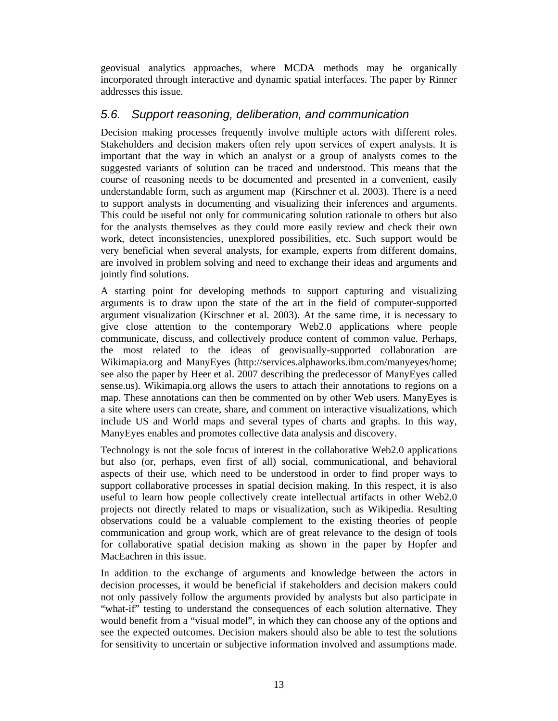geovisual analytics approaches, where MCDA methods may be organically incorporated through interactive and dynamic spatial interfaces. The paper by Rinner addresses this issue.

#### *5.6. Support reasoning, deliberation, and communication*

Decision making processes frequently involve multiple actors with different roles. Stakeholders and decision makers often rely upon services of expert analysts. It is important that the way in which an analyst or a group of analysts comes to the suggested variants of solution can be traced and understood. This means that the course of reasoning needs to be documented and presented in a convenient, easily understandable form, such as argument map (Kirschner et al. 2003). There is a need to support analysts in documenting and visualizing their inferences and arguments. This could be useful not only for communicating solution rationale to others but also for the analysts themselves as they could more easily review and check their own work, detect inconsistencies, unexplored possibilities, etc. Such support would be very beneficial when several analysts, for example, experts from different domains, are involved in problem solving and need to exchange their ideas and arguments and jointly find solutions.

A starting point for developing methods to support capturing and visualizing arguments is to draw upon the state of the art in the field of computer-supported argument visualization (Kirschner et al. 2003). At the same time, it is necessary to give close attention to the contemporary Web2.0 applications where people communicate, discuss, and collectively produce content of common value. Perhaps, the most related to the ideas of geovisually-supported collaboration are Wikimapia.org and ManyEyes (http://services.alphaworks.ibm.com/manyeyes/home; see also the paper by Heer et al. 2007 describing the predecessor of ManyEyes called sense.us). Wikimapia.org allows the users to attach their annotations to regions on a map. These annotations can then be commented on by other Web users. ManyEyes is a site where users can create, share, and comment on interactive visualizations, which include US and World maps and several types of charts and graphs. In this way, ManyEyes enables and promotes collective data analysis and discovery.

Technology is not the sole focus of interest in the collaborative Web2.0 applications but also (or, perhaps, even first of all) social, communicational, and behavioral aspects of their use, which need to be understood in order to find proper ways to support collaborative processes in spatial decision making. In this respect, it is also useful to learn how people collectively create intellectual artifacts in other Web2.0 projects not directly related to maps or visualization, such as Wikipedia. Resulting observations could be a valuable complement to the existing theories of people communication and group work, which are of great relevance to the design of tools for collaborative spatial decision making as shown in the paper by Hopfer and MacEachren in this issue.

In addition to the exchange of arguments and knowledge between the actors in decision processes, it would be beneficial if stakeholders and decision makers could not only passively follow the arguments provided by analysts but also participate in "what-if" testing to understand the consequences of each solution alternative. They would benefit from a "visual model", in which they can choose any of the options and see the expected outcomes. Decision makers should also be able to test the solutions for sensitivity to uncertain or subjective information involved and assumptions made.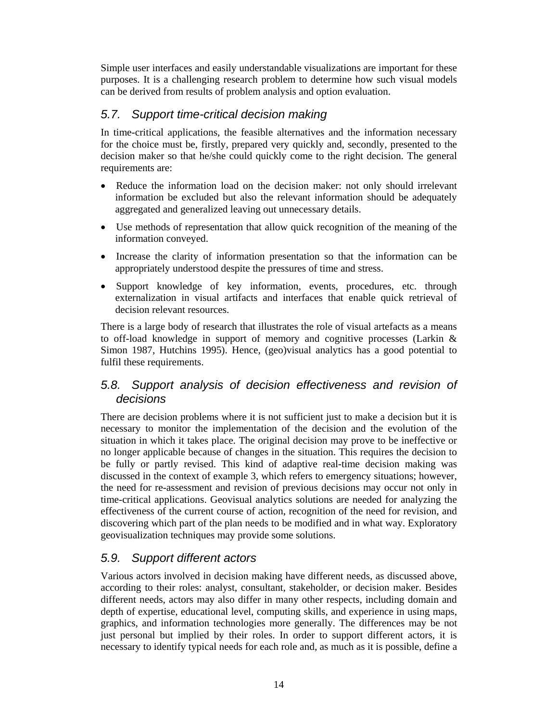Simple user interfaces and easily understandable visualizations are important for these purposes. It is a challenging research problem to determine how such visual models can be derived from results of problem analysis and option evaluation.

## *5.7. Support time-critical decision making*

In time-critical applications, the feasible alternatives and the information necessary for the choice must be, firstly, prepared very quickly and, secondly, presented to the decision maker so that he/she could quickly come to the right decision. The general requirements are:

- Reduce the information load on the decision maker: not only should irrelevant information be excluded but also the relevant information should be adequately aggregated and generalized leaving out unnecessary details.
- Use methods of representation that allow quick recognition of the meaning of the information conveyed.
- Increase the clarity of information presentation so that the information can be appropriately understood despite the pressures of time and stress.
- Support knowledge of key information, events, procedures, etc. through externalization in visual artifacts and interfaces that enable quick retrieval of decision relevant resources.

There is a large body of research that illustrates the role of visual artefacts as a means to off-load knowledge in support of memory and cognitive processes (Larkin & Simon 1987, Hutchins 1995). Hence, (geo)visual analytics has a good potential to fulfil these requirements.

### *5.8. Support analysis of decision effectiveness and revision of decisions*

There are decision problems where it is not sufficient just to make a decision but it is necessary to monitor the implementation of the decision and the evolution of the situation in which it takes place. The original decision may prove to be ineffective or no longer applicable because of changes in the situation. This requires the decision to be fully or partly revised. This kind of adaptive real-time decision making was discussed in the context of example 3, which refers to emergency situations; however, the need for re-assessment and revision of previous decisions may occur not only in time-critical applications. Geovisual analytics solutions are needed for analyzing the effectiveness of the current course of action, recognition of the need for revision, and discovering which part of the plan needs to be modified and in what way. Exploratory geovisualization techniques may provide some solutions.

### *5.9. Support different actors*

Various actors involved in decision making have different needs, as discussed above, according to their roles: analyst, consultant, stakeholder, or decision maker. Besides different needs, actors may also differ in many other respects, including domain and depth of expertise, educational level, computing skills, and experience in using maps, graphics, and information technologies more generally. The differences may be not just personal but implied by their roles. In order to support different actors, it is necessary to identify typical needs for each role and, as much as it is possible, define a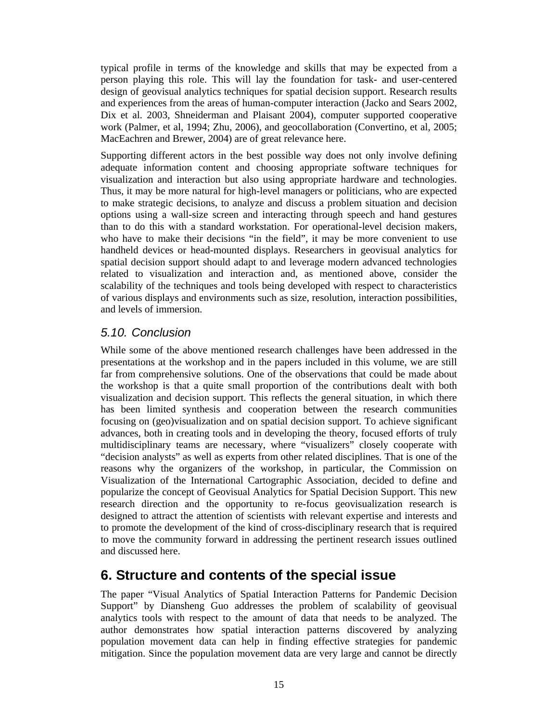typical profile in terms of the knowledge and skills that may be expected from a person playing this role. This will lay the foundation for task- and user-centered design of geovisual analytics techniques for spatial decision support. Research results and experiences from the areas of human-computer interaction (Jacko and Sears 2002, Dix et al. 2003, Shneiderman and Plaisant 2004), computer supported cooperative work (Palmer, et al, 1994; Zhu, 2006), and geocollaboration (Convertino, et al, 2005; MacEachren and Brewer, 2004) are of great relevance here.

Supporting different actors in the best possible way does not only involve defining adequate information content and choosing appropriate software techniques for visualization and interaction but also using appropriate hardware and technologies. Thus, it may be more natural for high-level managers or politicians, who are expected to make strategic decisions, to analyze and discuss a problem situation and decision options using a wall-size screen and interacting through speech and hand gestures than to do this with a standard workstation. For operational-level decision makers, who have to make their decisions "in the field", it may be more convenient to use handheld devices or head-mounted displays. Researchers in geovisual analytics for spatial decision support should adapt to and leverage modern advanced technologies related to visualization and interaction and, as mentioned above, consider the scalability of the techniques and tools being developed with respect to characteristics of various displays and environments such as size, resolution, interaction possibilities, and levels of immersion.

#### *5.10. Conclusion*

While some of the above mentioned research challenges have been addressed in the presentations at the workshop and in the papers included in this volume, we are still far from comprehensive solutions. One of the observations that could be made about the workshop is that a quite small proportion of the contributions dealt with both visualization and decision support. This reflects the general situation, in which there has been limited synthesis and cooperation between the research communities focusing on (geo)visualization and on spatial decision support. To achieve significant advances, both in creating tools and in developing the theory, focused efforts of truly multidisciplinary teams are necessary, where "visualizers" closely cooperate with "decision analysts" as well as experts from other related disciplines. That is one of the reasons why the organizers of the workshop, in particular, the Commission on Visualization of the International Cartographic Association, decided to define and popularize the concept of Geovisual Analytics for Spatial Decision Support. This new research direction and the opportunity to re-focus geovisualization research is designed to attract the attention of scientists with relevant expertise and interests and to promote the development of the kind of cross-disciplinary research that is required to move the community forward in addressing the pertinent research issues outlined and discussed here.

# **6. Structure and contents of the special issue**

The paper "Visual Analytics of Spatial Interaction Patterns for Pandemic Decision Support" by Diansheng Guo addresses the problem of scalability of geovisual analytics tools with respect to the amount of data that needs to be analyzed. The author demonstrates how spatial interaction patterns discovered by analyzing population movement data can help in finding effective strategies for pandemic mitigation. Since the population movement data are very large and cannot be directly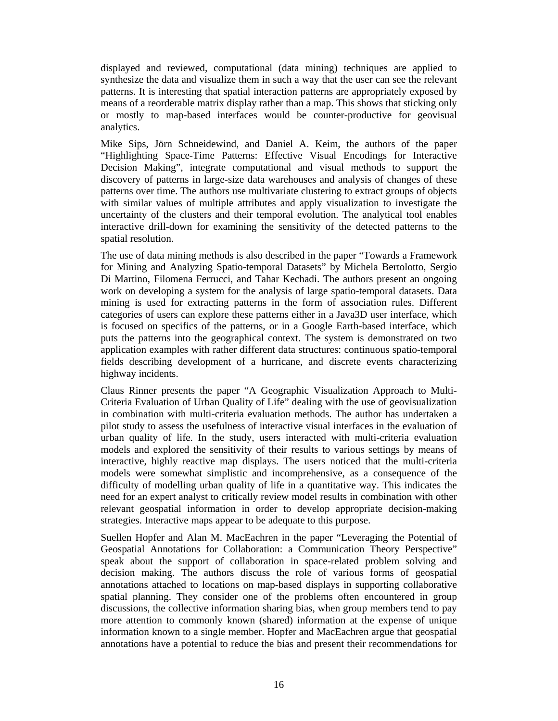displayed and reviewed, computational (data mining) techniques are applied to synthesize the data and visualize them in such a way that the user can see the relevant patterns. It is interesting that spatial interaction patterns are appropriately exposed by means of a reorderable matrix display rather than a map. This shows that sticking only or mostly to map-based interfaces would be counter-productive for geovisual analytics.

Mike Sips, Jörn Schneidewind, and Daniel A. Keim, the authors of the paper "Highlighting Space-Time Patterns: Effective Visual Encodings for Interactive Decision Making", integrate computational and visual methods to support the discovery of patterns in large-size data warehouses and analysis of changes of these patterns over time. The authors use multivariate clustering to extract groups of objects with similar values of multiple attributes and apply visualization to investigate the uncertainty of the clusters and their temporal evolution. The analytical tool enables interactive drill-down for examining the sensitivity of the detected patterns to the spatial resolution.

The use of data mining methods is also described in the paper "Towards a Framework for Mining and Analyzing Spatio-temporal Datasets" by Michela Bertolotto, Sergio Di Martino, Filomena Ferrucci, and Tahar Kechadi. The authors present an ongoing work on developing a system for the analysis of large spatio-temporal datasets. Data mining is used for extracting patterns in the form of association rules. Different categories of users can explore these patterns either in a Java3D user interface, which is focused on specifics of the patterns, or in a Google Earth-based interface, which puts the patterns into the geographical context. The system is demonstrated on two application examples with rather different data structures: continuous spatio-temporal fields describing development of a hurricane, and discrete events characterizing highway incidents.

Claus Rinner presents the paper "A Geographic Visualization Approach to Multi-Criteria Evaluation of Urban Quality of Life" dealing with the use of geovisualization in combination with multi-criteria evaluation methods. The author has undertaken a pilot study to assess the usefulness of interactive visual interfaces in the evaluation of urban quality of life. In the study, users interacted with multi-criteria evaluation models and explored the sensitivity of their results to various settings by means of interactive, highly reactive map displays. The users noticed that the multi-criteria models were somewhat simplistic and incomprehensive, as a consequence of the difficulty of modelling urban quality of life in a quantitative way. This indicates the need for an expert analyst to critically review model results in combination with other relevant geospatial information in order to develop appropriate decision-making strategies. Interactive maps appear to be adequate to this purpose.

Suellen Hopfer and Alan M. MacEachren in the paper "Leveraging the Potential of Geospatial Annotations for Collaboration: a Communication Theory Perspective" speak about the support of collaboration in space-related problem solving and decision making. The authors discuss the role of various forms of geospatial annotations attached to locations on map-based displays in supporting collaborative spatial planning. They consider one of the problems often encountered in group discussions, the collective information sharing bias, when group members tend to pay more attention to commonly known (shared) information at the expense of unique information known to a single member. Hopfer and MacEachren argue that geospatial annotations have a potential to reduce the bias and present their recommendations for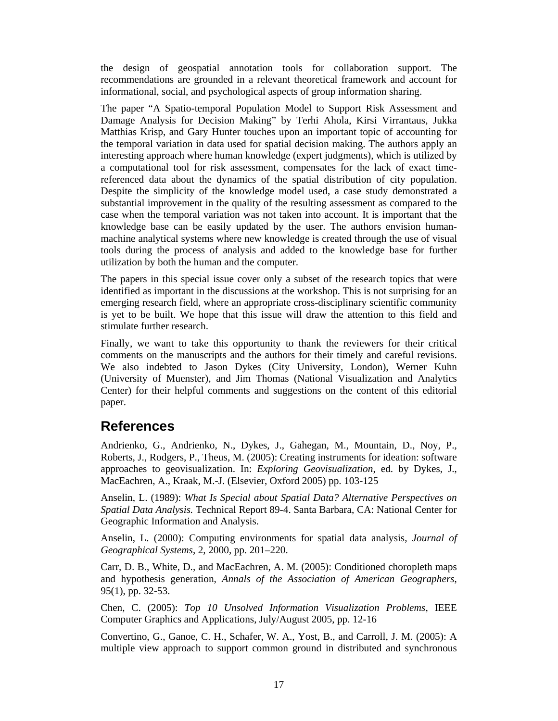the design of geospatial annotation tools for collaboration support. The recommendations are grounded in a relevant theoretical framework and account for informational, social, and psychological aspects of group information sharing.

The paper "A Spatio-temporal Population Model to Support Risk Assessment and Damage Analysis for Decision Making" by Terhi Ahola, Kirsi Virrantaus, Jukka Matthias Krisp, and Gary Hunter touches upon an important topic of accounting for the temporal variation in data used for spatial decision making. The authors apply an interesting approach where human knowledge (expert judgments), which is utilized by a computational tool for risk assessment, compensates for the lack of exact timereferenced data about the dynamics of the spatial distribution of city population. Despite the simplicity of the knowledge model used, a case study demonstrated a substantial improvement in the quality of the resulting assessment as compared to the case when the temporal variation was not taken into account. It is important that the knowledge base can be easily updated by the user. The authors envision humanmachine analytical systems where new knowledge is created through the use of visual tools during the process of analysis and added to the knowledge base for further utilization by both the human and the computer.

The papers in this special issue cover only a subset of the research topics that were identified as important in the discussions at the workshop. This is not surprising for an emerging research field, where an appropriate cross-disciplinary scientific community is yet to be built. We hope that this issue will draw the attention to this field and stimulate further research.

Finally, we want to take this opportunity to thank the reviewers for their critical comments on the manuscripts and the authors for their timely and careful revisions. We also indebted to Jason Dykes (City University, London), Werner Kuhn (University of Muenster), and Jim Thomas (National Visualization and Analytics Center) for their helpful comments and suggestions on the content of this editorial paper.

# **References**

Andrienko, G., Andrienko, N., Dykes, J., Gahegan, M., Mountain, D., Noy, P., Roberts, J., Rodgers, P., Theus, M. (2005): Creating instruments for ideation: software approaches to geovisualization. In: *Exploring Geovisualization*, ed. by Dykes, J., MacEachren, A., Kraak, M.-J. (Elsevier, Oxford 2005) pp. 103-125

Anselin, L. (1989): *What Is Special about Spatial Data? Alternative Perspectives on Spatial Data Analysis.* Technical Report 89-4. Santa Barbara, CA: National Center for Geographic Information and Analysis.

Anselin, L. (2000): Computing environments for spatial data analysis, *Journal of Geographical Systems*, 2, 2000, pp. 201–220.

Carr, D. B., White, D., and MacEachren, A. M. (2005): Conditioned choropleth maps and hypothesis generation, *Annals of the Association of American Geographers*, 95(1), pp. 32-53.

Chen, C. (2005): *Top 10 Unsolved Information Visualization Problems*, IEEE Computer Graphics and Applications, July/August 2005, pp. 12-16

Convertino, G., Ganoe, C. H., Schafer, W. A., Yost, B., and Carroll, J. M. (2005): A multiple view approach to support common ground in distributed and synchronous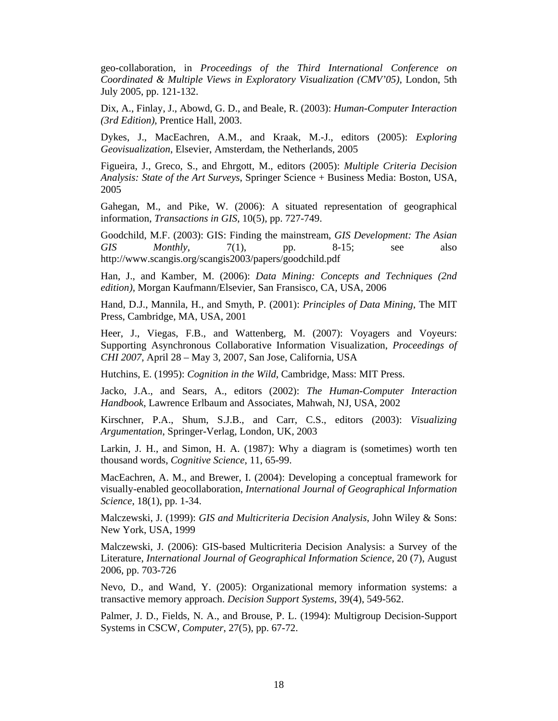geo-collaboration, in *Proceedings of the Third International Conference on Coordinated & Multiple Views in Exploratory Visualization (CMV'05)*, London, 5th July 2005, pp. 121-132.

Dix, A., Finlay, J., Abowd, G. D., and Beale, R. (2003): *Human-Computer Interaction (3rd Edition)*, Prentice Hall, 2003.

Dykes, J., MacEachren, A.M., and Kraak, M.-J., editors (2005): *Exploring Geovisualization*, Elsevier, Amsterdam, the Netherlands, 2005

Figueira, J., Greco, S., and Ehrgott, M., editors (2005): *Multiple Criteria Decision Analysis: State of the Art Surveys*, Springer Science + Business Media: Boston, USA, 2005

Gahegan, M., and Pike, W. (2006): A situated representation of geographical information, *Transactions in GIS*, 10(5), pp. 727-749.

Goodchild, M.F. (2003): GIS: Finding the mainstream, *GIS Development: The Asian GIS Monthly*, 7(1), pp. 8-15; see also http://www.scangis.org/scangis2003/papers/goodchild.pdf

Han, J., and Kamber, M. (2006): *Data Mining: Concepts and Techniques (2nd edition),* Morgan Kaufmann/Elsevier, San Fransisco, CA, USA, 2006

Hand, D.J., Mannila, H., and Smyth, P. (2001): *Principles of Data Mining*, The MIT Press, Cambridge, MA, USA, 2001

Heer, J., Viegas, F.B., and Wattenberg, M. (2007): Voyagers and Voyeurs: Supporting Asynchronous Collaborative Information Visualization, *Proceedings of CHI 2007*, April 28 – May 3, 2007, San Jose, California, USA

Hutchins, E. (1995): *Cognition in the Wild*, Cambridge, Mass: MIT Press.

Jacko, J.A., and Sears, A., editors (2002): *The Human-Computer Interaction Handbook*, Lawrence Erlbaum and Associates, Mahwah, NJ, USA, 2002

Kirschner, P.A., Shum, S.J.B., and Carr, C.S., editors (2003): *Visualizing Argumentation*, Springer-Verlag, London, UK, 2003

Larkin, J. H., and Simon, H. A. (1987): Why a diagram is (sometimes) worth ten thousand words, *Cognitive Science*, 11, 65-99.

MacEachren, A. M., and Brewer, I. (2004): Developing a conceptual framework for visually-enabled geocollaboration, *International Journal of Geographical Information Science*, 18(1), pp. 1-34.

Malczewski, J. (1999): *GIS and Multicriteria Decision Analysis*, John Wiley & Sons: New York, USA, 1999

Malczewski, J. (2006): GIS-based Multicriteria Decision Analysis: a Survey of the Literature, *International Journal of Geographical Information Science*, 20 (7), August 2006, pp. 703-726

Nevo, D., and Wand, Y. (2005): Organizational memory information systems: a transactive memory approach. *Decision Support Systems*, 39(4), 549-562.

Palmer, J. D., Fields, N. A., and Brouse, P. L. (1994): Multigroup Decision-Support Systems in CSCW, *Computer*, 27(5), pp. 67-72.